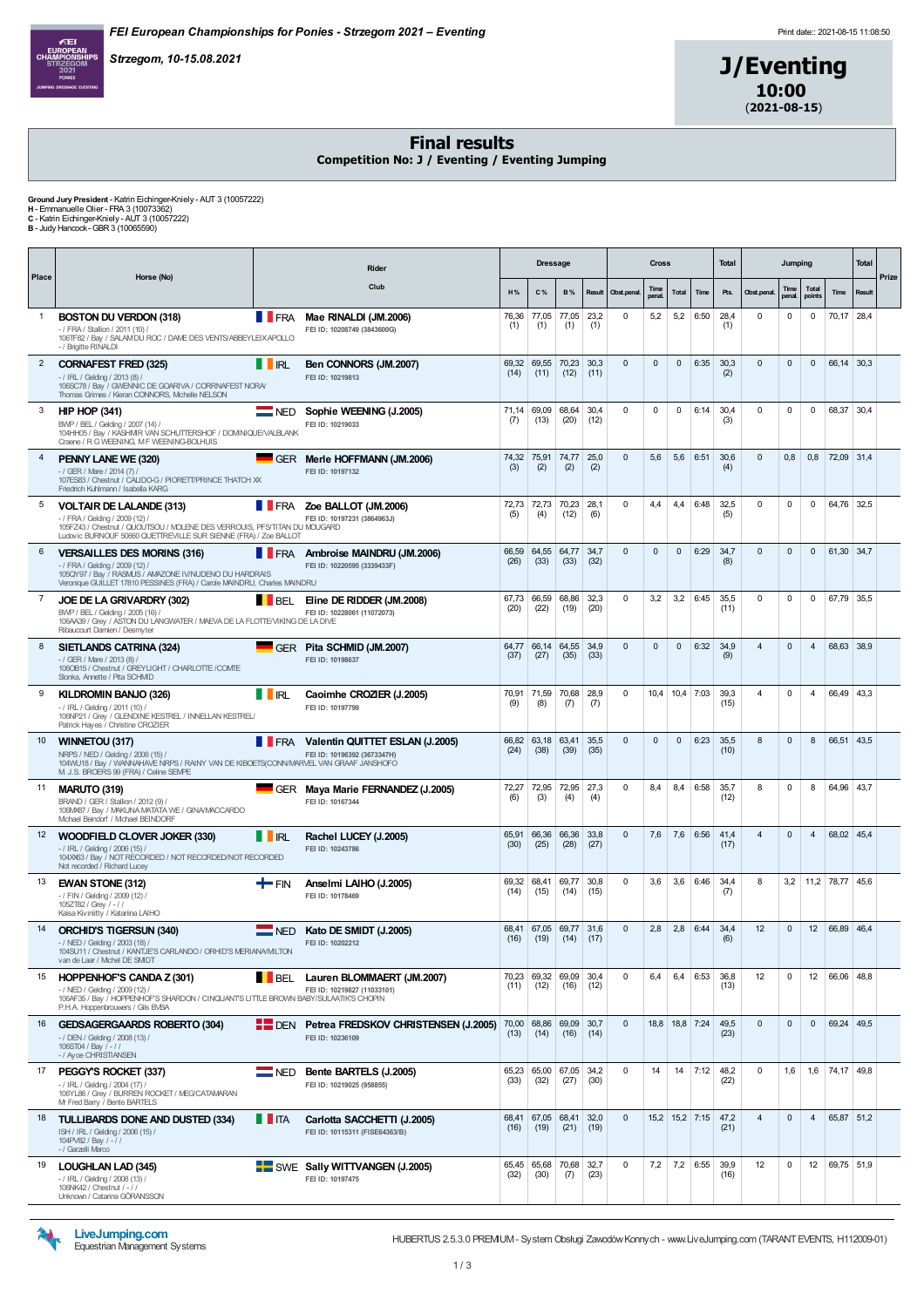Strzegom, 10-15.08.2021



J/Eventing 10:00  $(2021 - 08 - 15)$ 

#### Final results

Competition No: J / Eventing / Eventing Jumping

**Ground Jury President -** Katrin Eichinger-Kniely - AUT 3 (10057222)<br>**H -** Emmanuelle Olier - FRA 3 (10073362)<br>C - Katrin Eichinger-Kniely - AUT 3 (10057222)<br>**B** - Judy Hancock- GBR 3 (10065590)

|                | Rider                                                                                                                                                                                                               |                    |                                                                      | <b>Dressage</b> |                                |                     | <b>Cross</b> |              |               |              | <b>Total</b>     | Jumping      |                | <b>Total</b>   |                 |                   |            |       |
|----------------|---------------------------------------------------------------------------------------------------------------------------------------------------------------------------------------------------------------------|--------------------|----------------------------------------------------------------------|-----------------|--------------------------------|---------------------|--------------|--------------|---------------|--------------|------------------|--------------|----------------|----------------|-----------------|-------------------|------------|-------|
| Place          | Horse (No)                                                                                                                                                                                                          |                    | Club                                                                 | H%              | C%                             | <b>B%</b>           | Result       | Obst.penal   | Time<br>penal | <b>Total</b> | Time             | Pts.         | Obst.penal.    | Time<br>penal. | Total<br>points | Time              | Result     | Prize |
| $\mathbf{1}$   | <b>BOSTON DU VERDON (318)</b><br>- / FRA / Stallion / 2011 (10) /<br>106TF82 / Bay / SALAM DU ROC / DAME DES VENTS/ABBEYLEIX APOLLO<br>- / Brigitte RINALDI                                                         | <b>T</b> FRA       | Mae RINALDI (JM.2006)<br>FEI ID: 10208749 (3843600G)                 | (1)             | 76,36 77,05<br>(1)             | 77,05<br>(1)        | 23,2<br>(1)  | $\mathbf 0$  | 5,2           | 5,2          | 6:50             | 28,4<br>(1)  | $\mathbf 0$    | $\mathbf 0$    | $\mathbf 0$     | 70,17 28,4        |            |       |
| $\overline{2}$ | CORNAFEST FRED (325)<br>$-$ / IRL / Gelding / 2013 (8) /<br>106SC78 / Bay / GWENNIC DE GOARIVA / CORRNAFEST NORA/<br>Thomas Grimes / Kieran CONNORS, Mchelle NELSON                                                 | <b>THRL</b>        | Ben CONNORS (JM.2007)<br>FEI ID: 10219813                            | 69,32<br>(14)   | 69,55<br>(11)                  | 70,23<br>(12)       | 30.3<br>(11) | $\mathbf{0}$ | $\mathbf{0}$  | $\mathbf{0}$ | 6:35             | 30,3<br>(2)  | $\mathbf{0}$   | $\mathbf{0}$   | $\mathbf 0$     | 66,14 30,3        |            |       |
| 3              | <b>HIP HOP (341)</b><br>BWP / BEL / Gelding / 2007 (14) /<br>104HH05 / Bay / KASHMR VAN SCHUTTERSHOF / DOMNIQUE/VALBLANK<br>Craene / R G WEENING, M F WEENING-BOLHUIS                                               | $\blacksquare$ NED | Sophie WEENING (J.2005)<br>FEI ID: 10219033                          | 71.14<br>(7)    | 69,09<br>(13)                  | 68,64<br>(20)       | 30.4<br>(12) | $\mathbf 0$  | 0             | $\mathbf 0$  | 6:14             | 30,4<br>(3)  | $\mathbf 0$    | $\mathbf 0$    | $\mathbf 0$     | 68.37 30.4        |            |       |
| $\overline{4}$ | PENNY LANE WE (320)<br>- / GER / Mare / 2014 (7) /<br>107ES83 / Chestnut / CALIDO-G / PIORETT/PRINCE THATCH XX<br>Friedrich Kuhlmann / Isabella KARG                                                                |                    | GER Merle HOFFMANN (JM.2006)<br>FEI ID: 10197132                     | 74,32<br>(3)    | 75,91<br>(2)                   | 74,77<br>(2)        | 25,0<br>(2)  | $\mathbf{0}$ | 5,6           | 5,6          | 6:51             | 30,6<br>(4)  | $\mathbf 0$    | 0,8            | 0,8             | 72,09 31,4        |            |       |
| 5              | <b>VOLTAIR DE LALANDE (313)</b><br>- / FRA / Gelding / 2009 (12) /<br>105FZ43 / Chestnut / QUOUTSOU / MOLENE DES VERROUIS, PFS/TITAN DU MOUGARD<br>Ludovic BURNOUF 50660 QUETTREVILLE SUR SIENNE (FRA) / Zoe BALLOT | <b>TERA</b>        | Zoe BALLOT (JM.2006)<br>FEI ID: 10197231 (3864963J)                  | (5)             | 72,73 72,73<br>(4)             | 70,23<br>(12)       | 28,1<br>(6)  | $\mathbf 0$  | 4,4           | 4,4          | 6:48             | 32,5<br>(5)  | $\mathbf 0$    | $\mathbf 0$    | $\mathbf 0$     | 64,76 32,5        |            |       |
| 6              | <b>VERSAILLES DES MORINS (316)</b><br>- / FRA / Gelding / 2009 (12) /<br>105QY97 / Bay / RASMUS / AMAZONE IV/NUDENO DU HARDRAIS<br>Veronique GUILLET 17810 PESSINES (FRA) / Carole MAINDRU, Charles MAINDRU         | <b>TERA</b>        | Ambroise MAINDRU (JM.2006)<br>FEI ID: 10220595 (3339433F)            | 66.59<br>(26)   | 64.55<br>(33)                  | 64.77<br>(33)       | 34.7<br>(32) | $\mathbf{0}$ | $\mathbf{0}$  | $\mathbf{0}$ | 6:29             | 34.7<br>(8)  | $\mathbf 0$    | $\mathbf{0}$   | $\mathbf{0}$    | 61,30 34,7        |            |       |
| $\overline{7}$ | JOE DE LA GRIVARDRY (302)<br>BWP / BEL / Gelding / 2005 (16) /<br>106AA39 / Grey / ASTON DU LANGWATER / MAEVA DE LA FLOTTE/VIKING DE LA DIVE<br>Ribaucourt Damien / Desmyter                                        | BEL                | Eline DE RIDDER (JM.2008)<br>FEI ID: 10228061 (11072073)             | 67,73<br>(20)   | 66,59<br>(22)                  | 68,86<br>(19)       | 32,3<br>(20) | $\mathsf 0$  | 3,2           | 3,2          | 6:45             | 35,5<br>(11) | $\mathbf 0$    | $\mathsf 0$    | $\mathbf 0$     | 67,79 35,5        |            |       |
| 8              | SIETLANDS CATRINA (324)<br>- / GER / Mare / 2013 (8) /<br>1060B15 / Chestnut / GREYLIGHT / CHARLOTTE / COMTE<br>Slonka, Annette / Pita SCHMD                                                                        |                    | GER Pita SCHMID (JM.2007)<br>FEI ID: 10198637                        | 64,77<br>(37)   | 66,14<br>(27)                  | 64,55<br>(35)       | 34,9<br>(33) | $\mathsf 0$  | 0             | $\mathbf 0$  | 6:32             | 34,9<br>(9)  | 4              | $\mathsf 0$    | $\overline{4}$  | 68,63 38,9        |            |       |
| 9              | KILDROMIN BANJO (326)<br>- / IRL / Gelding / 2011 (10) /<br>106NP21 / Grey / GLENDINE KESTREL / INNELLAN KESTREL/<br>Patrick Hayes / Christine CROZIER                                                              | <b>I</b> IRL       | Caoimhe CROZIER (J.2005)<br>FEI ID: 10197799                         | (9)             | 70,91 71,59<br>(8)             | 70,68<br>(7)        | 28,9<br>(7)  | $\mathbf 0$  | 10,4          |              | $10,4$ 7:03      | 39,3<br>(15) | $\overline{4}$ | 0              | $\overline{4}$  | 66,49 43,3        |            |       |
| 10             | WINNETOU (317)<br>NRPS / NED / Gelding / 2006 (15) /<br>104WU18 / Bay / WANNAHAVE NRPS / RAINY VAN DE KIBOETS(CONN/MARVEL VAN GRAAF JANSHOFO<br>M J.S. BROERS 99 (FRA) / Celine SEMPE                               |                    | FRA Valentin QUITTET ESLAN (J.2005)<br>FEI ID: 10196392 (3673347H)   | 66.82<br>(24)   | (38)                           | 63,18 63,41<br>(39) | 35,5<br>(35) | $\mathbf{0}$ | $\mathbf{0}$  | $\mathbf{0}$ | 6:23             | 35,5<br>(10) | 8              | $\mathbf{0}$   | 8               | 66,51 43,5        |            |       |
| 11             | <b>MARUTO (319)</b><br>BRAND / GER / Stallion / 2012 (9) /<br>106MX87 / Bay / MAKUNA MATATA WE / GINA/MACCARDO<br>Mchael Beindorf / Michael BEINDORF                                                                |                    | GER Maya Marie FERNANDEZ (J.2005)<br>FEI ID: 10167344                | 72,27<br>(6)    | 72,95<br>(3)                   | 72,95<br>(4)        | 27,3<br>(4)  | $\mathbf 0$  | 8,4           | 8,4          | 6:58             | 35,7<br>(12) | 8              | $\mathbf 0$    | 8               | 64,96 43,7        |            |       |
| 12             | WOODFIELD CLOVER JOKER (330)<br>-/ IRL / Gelding / 2006 (15) /<br>104XX63 / Bay / NOT RECORDED / NOT RECORDED/NOT RECORDED<br>Not recorded / Richard Lucev                                                          | <b>II RL</b>       | Rachel LUCEY (J.2005)<br>FEI ID: 10243786                            | 65,91<br>(30)   | 66,36<br>(25)                  | 66,36<br>(28)       | 33,8<br>(27) | $\mathbf{0}$ | 7,6           | 7,6          | 6:56             | 41,4<br>(17) | $\overline{4}$ | $\mathbf{0}$   | $\overline{4}$  | 68,02 45,4        |            |       |
| 13             | <b>EWAN STONE (312)</b><br>- / FIN / Gelding / 2009 (12) /<br>105ZT82 / Grey / - / /<br>Kaisa Kiviniitty / Katariina LAIHO                                                                                          | <b>die</b> Fin     | Anselmi LAIHO (J.2005)<br>FEI ID: 10178469                           | 69,32<br>(14)   | 68,41<br>(15)                  | 69,77<br>(14)       | 30,8<br>(15) | $\mathbf 0$  | 3,6           | 3,6          | 6:46             | 34,4<br>(7)  | 8              | 3,2            |                 | $11,2$ 78,77 45,6 |            |       |
| 14             | <b>ORCHID'S TIGERSUN (340)</b><br>- / NED / Gelding / 2003 (18) /<br>104SU11 / Chestnut / KANTJE'S CARLANDO / ORHID'S MERIANA/MILTON<br>van de Laar / Michel DE SMIDT                                               |                    | NED Kato DE SMIDT (J.2005)<br>FEI ID: 10202212                       | (16)            | 68.41 67.05 69.77 31.6<br>(19) | (14)                | (17)         | $\mathbf{0}$ | 2,8           | 2,8          | 6:44             | 34,4<br>(6)  | 12             | $\mathbf{0}$   | 12              | 66.89 46.4        |            |       |
| 15             | HOPPENHOF'S CANDA Z (301)<br>- / NED / Gelding / 2009 (12) /<br>106AF35 / Bay / HOPPENHOF'S SHARDON / CINQUANTS LITTLE BROWN BABY/SULAATIK'S CHOPIN<br>P.H.A. Hoppenbrouwers / Gils BVBA                            |                    | <b>BEL</b> Lauren BLOMMAERT (JM.2007)<br>FEI ID: 10219827 (11033101) | (11)            | 70,23 69,32 69,09 30,4<br>(12) | (16)                | (12)         | $\mathbf 0$  | 6,4           | 6,4          | 6:53             | 36,8<br>(13) | 12             | 0              | 12              | 66,06 48,8        |            |       |
| 16             | <b>GEDSAGERGAARDS ROBERTO (304)</b><br>- / DEN / Gelding / 2008 (13) /<br>106ST04 / Bay / - / /<br>- / Ayoe CHRISTIANSEN                                                                                            |                    | DEN Petrea FREDSKOV CHRISTENSEN (J.2005)<br>FEI ID: 10236109         | 70,00<br>(13)   | 68,86 69,09 30,7<br>(14)       | (16)                | (14)         | $\mathbf{0}$ |               |              | 18,8 18,8 7:24   | 49,5<br>(23) | $\mathbf 0$    | 0              | 0               | 69,24 49,5        |            |       |
| 17             | PEGGY'S ROCKET (337)<br>-/IRL/Gelding / 2004 (17) /<br>106YL86 / Grey / BURREN ROCKET / MEG/CATAMARAN<br>Mr Fred Barry / Bente BARTELS                                                                              | $\blacksquare$ NED | Bente BARTELS (J.2005)<br>FEI ID: 10219025 (958855)                  | 65,23<br>(33)   | 65,00<br>(32)                  | 67,05<br>(27)       | 34,2<br>(30) | $\mathbf 0$  | 14            | 14           | 7:12             | 48,2<br>(22) | $\mathbf 0$    | 1,6            | 1,6             | 74.17 49.8        |            |       |
| 18             | TULLIBARDS DONE AND DUSTED (334)<br>ISH / IRL / Gelding / 2006 (15) /<br>104PV82 / Bay / -//<br>- / Garzelli Marco                                                                                                  | $\blacksquare$ ITA | Carlotta SACCHETTI (J.2005)<br>FEI ID: 10115311 (FISE64363/B)        | 68.41<br>(16)   | (19)                           | 67,05 68,41<br>(21) | 32.0<br>(19) | $\mathbf{0}$ |               |              | $15,2$ 15,2 7:15 | 47,2<br>(21) | $\overline{4}$ | $\mathbf{0}$   | $\overline{4}$  |                   | 65,87 51,2 |       |
| 19             | <b>LOUGHLAN LAD (345)</b><br>- / IRL / Gelding / 2008 (13) /<br>106NK42 / Chestnut / - / /<br>Unknown / Catarina GÖRANSSON                                                                                          |                    | SWE Sally WITTVANGEN (J.2005)<br>FEI ID: 10197475                    | (32)            | 65,45 65,68 70,68 32,7<br>(30) | (7)                 | (23)         | $\mathbf 0$  | 7,2           |              | $7,2$ 6:55       | 39,9<br>(16) | 12             | $\mathbf 0$    | 12              | 69,75 51,9        |            |       |



HUBERTUS 2.5.3.0 PREM UM - System Obsługi Zawodów Konnych - www.LiveJumping.com (TARANT EVENTS, H112009-01)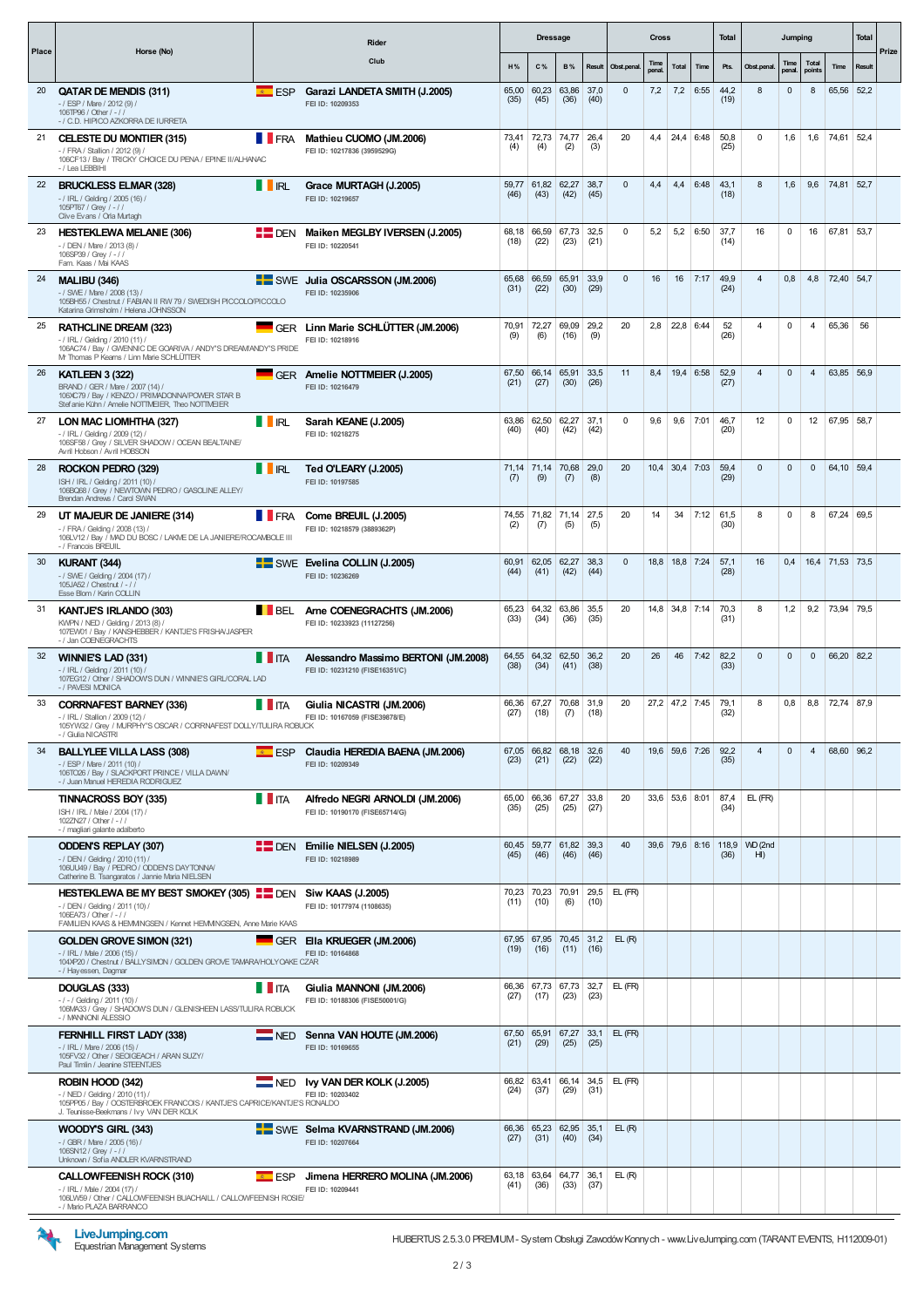|       |                                                                                                                                                                                                     |                | Rider                                                                  |               | <b>Dressage</b>                |                    |                      |               | <b>Cross</b>  |                  |      | <b>Total</b>                 |                           | Jumping        |                 |                 | Total  |       |
|-------|-----------------------------------------------------------------------------------------------------------------------------------------------------------------------------------------------------|----------------|------------------------------------------------------------------------|---------------|--------------------------------|--------------------|----------------------|---------------|---------------|------------------|------|------------------------------|---------------------------|----------------|-----------------|-----------------|--------|-------|
| Place | Horse (No)                                                                                                                                                                                          |                | Club                                                                   | H%            | C%                             | <b>B%</b>          | Result               | Obst.penal.   | Time<br>penal | <b>Total</b>     | Time | Pts.                         | Obst.penal.               | Time<br>penal. | Total<br>points | Time            | Result | Prize |
| 20    | QATAR DE MENDIS (311)<br>- / ESP / Mare / 2012 (9) /<br>106TP96 / Other / - / /<br>- / C.D. HIPICO AZKORRA DE IURRETA                                                                               | $E = ESP$      | Garazi LANDETA SMITH (J.2005)<br>FEI ID: 10209353                      | 65,00<br>(35) | 60,23<br>(45)                  | 63,86<br>(36)      | 37,0<br>(40)         | $\mathbf 0$   | 7,2           | 7,2              | 6:55 | 44,2<br>(19)                 | 8                         | $\mathbf 0$    | 8               | 65,56           | 52,2   |       |
| 21    | <b>CELESTE DU MONTIER (315)</b><br>- / FRA / Stallion / 2012 (9) /<br>106CF13 / Bay / TRICKY CHOICE DU PENA / EPINE II/ALHANAC<br>-/ Lea LEBBIHI                                                    |                | FRA Mathieu CUOMO (JM.2006)<br>FEI ID: 10217836 (3959529G)             | 73,41<br>(4)  | 72,73<br>(4)                   | 74,77<br>(2)       | 26,4<br>(3)          | 20            | 4,4           | 24,4 6:48        |      | 50,8<br>(25)                 | 0                         | 1,6            | 1,6             | 74,61           | 52,4   |       |
| 22    | <b>BRUCKLESS ELMAR (328)</b><br>- / IRL / Gelding / 2005 (16) /<br>105PT67 / Grev / - / /<br>Clive Evans / Orla Murtagh                                                                             | <b>TRL</b>     | Grace MURTAGH (J.2005)<br>FEI ID: 10219657                             | 59.77<br>(46) | 61,82<br>(43)                  | 62,27<br>(42)      | 38.7<br>(45)         | $\mathbf{0}$  | 4,4           | 4,4              | 6:48 | 43,1<br>(18)                 | 8                         | 1,6            | 9,6             | 74,81 52,7      |        |       |
| 23    | <b>HESTEKLEWA MELANIE (306)</b><br>- / DEN / Mare / 2013 (8) /<br>106SP39 / Grey / -//<br>Fam. Kaas / Mai KAAS                                                                                      |                | DEN Maiken MEGLBY IVERSEN (J.2005)<br>FEI ID: 10220541                 | (18)          | 68,18 66,59<br>(22)            | 67,73<br>(23)      | 32,5<br>(21)         | 0             | 5,2           | 5,2              | 6:50 | 37,7<br>(14)                 | 16                        | $\mathbf 0$    | 16              | 67,81           | 53,7   |       |
| 24    | <b>MALIBU (346)</b><br>- / SWE / Mare / 2008 (13) /<br>105BH55 / Chestnut / FABIAN II RW 79 / SWEDISH PICCOLO/PICCOLO<br>Katarina Grimsholm / Helena JOHNSSON                                       |                | SWE Julia OSCARSSON (JM.2006)<br>FEI ID: 10235906                      | (31)          | 65,68 66,59<br>(22)            | 65,91<br>(30)      | 33,9<br>(29)         | $\mathbf 0$   | 16            | 16               | 7:17 | 49,9<br>(24)                 | $\overline{4}$            | 0,8            | 4,8             | 72,40 54,7      |        |       |
| 25    | <b>RATHCLINE DREAM (323)</b><br>-/ IRL / Gelding / 2010 (11) /<br>106AC74 / Bay / GWENNIC DE GOARIVA / ANDY'S DREAMANDY'S PRIDE<br>Mr Thomas P Kearns / Linn Marie SCHLÜTTER                        |                | GER Linn Marie SCHLÜTTER (JM.2006)<br>FEI ID: 10218916                 | 70.91<br>(9)  | 72,27<br>(6)                   | 69,09<br>(16)      | 29.2<br>(9)          | 20            | 2.8           | 22,8 6:44        |      | 52<br>(26)                   | $\overline{4}$            | $\mathbf 0$    | $\overline{4}$  | 65,36           | 56     |       |
| 26    | <b>KATLEEN 3 (322)</b><br>BRAND / GER / Mare / 2007 (14) /<br>106XC79 / Bav / KENZO / PRIMADONNA/POWER STAR B<br>Stefanie Kühn / Amelie NOTTMEIER, Theo NOTTMEIER                                   |                | GER Amelie NOTTMEIER (J.2005)<br>FEI ID: 10216479                      | (21)          | 67,50 66,14<br>(27)            | 65,91<br>(30)      | 33,5<br>(26)         | 11            | 8,4           | 19,4 6:58        |      | 52,9<br>(27)                 | $\overline{4}$            | $\mathbf 0$    | $\overline{4}$  | 63,85 56,9      |        |       |
| 27    | LON MAC LIOMHTHA (327)<br>- / IRL / Gelding / 2009 (12) /<br>106SF58 / Grey / SILVER SHADOW / OCEAN BEALTAINE/<br>Avril Hobson / Avril HOBSON                                                       | <b>II</b> RL   | Sarah KEANE (J.2005)<br>FEI ID: 10218275                               | 63,86<br>(40) | 62,50<br>(40)                  | 62,27<br>(42)      | 37,1<br>(42)         | 0             | 9,6           | 9,6              | 7:01 | 46,7<br>(20)                 | 12                        | 0              | 12              | 67,95 58,7      |        |       |
| 28    | ROCKON PEDRO (329)<br>ISH / IRL / Gelding / 2011 (10) /<br>106BQ68 / Grey / NEWTOWN PEDRO / GASOLINE ALLEY/<br>Brendan Andrews / Carol SWAN                                                         | IRL            | Ted O'LEARY (J.2005)<br>FEI ID: 10197585                               | (7)           | 71,14 71,14<br>(9)             | 70,68<br>(7)       | 29,0<br>(8)          | 20            |               | 10,4 30,4 7:03   |      | 59,4<br>(29)                 | $\mathbf 0$               | $\mathbf{0}$   | $\mathbf 0$     | 64.10 59.4      |        |       |
| 29    | UT MAJEUR DE JANIERE (314)<br>- / FRA / Gelding / 2008 (13) /<br>106LV12 / Bay / MAD DU BOSC / LAKME DE LA JANIERE/ROCAMBOLE III<br>- / Francois BREUIL                                             | <b>FRA</b>     | Come BREUIL (J.2005)<br>FEI ID: 10218579 (3889362P)                    | 74,55<br>(2)  | 71,82<br>(7)                   | 71,14<br>(5)       | 27.5<br>(5)          | 20            | 14            | 34               | 7:12 | 61.5<br>(30)                 | 8                         | $\mathbf 0$    | 8               | 67,24 69,5      |        |       |
| 30    | KURANT (344)<br>- / SWE / Gelding / 2004 (17) /<br>105JA52 / Chestnut / -//<br>Esse Blom / Karin COLLIN                                                                                             |                | SWE Evelina COLLIN (J.2005)<br>FEI ID: 10236269                        | (44)          | 60,91 62,05<br>(41)            | 62,27<br>(42)      | 38,3<br>(44)         | $\mathbf 0$   |               | 18,8 18,8 7:24   |      | 57,1<br>(28)                 | 16                        | 0,4            |                 | 16,4 71,53 73,5 |        |       |
| 31    | <b>KANTJE'S IRLANDO (303)</b><br>KWPN / NED / Gelding / 2013 (8) /<br>107EW01 / Bay / KANSHEBBER / KANTJE'S FRISHA/JASPER<br>- / Jan COENEGRACHTS                                                   |                | <b>BEL Arne COENEGRACHTS (JM.2006)</b><br>FEI ID: 10233923 (11127256)  | 65,23<br>(33) | 64,32<br>(34)                  | 63,86<br>(36)      | 35,5<br>(35)         | 20            |               | 14,8 34,8 7:14   |      | 70,3<br>(31)                 | 8                         | 1,2            | 9,2             | 73,94 79,5      |        |       |
| 32    | WINNIE'S LAD (331)<br>$-$ / IRL / Gelding / 2011 (10) /<br>107EG12 / Other / SHADOWS DUN / WINNIE'S GIRL/CORAL LAD<br>- / PAVESI MONICA                                                             | <b>I</b> ITA   | Alessandro Massimo BERTONI (JM.2008)<br>FEI ID: 10231210 (FISE16351/C) | (38)          | 64.55 64.32<br>(34)            | 62,50<br>(41)      | 36,2<br>(38)         | 20            | 26            | 46               | 7:42 | 82,2<br>(33)                 | $\mathbf 0$               | $\mathbf 0$    | $\mathbf 0$     | 66,20 82,2      |        |       |
| 33    | <b>CORRNAFEST BARNEY (336)</b><br>- / IRL / Stallion / 2009 (12) /<br>105YW32 / Grey / MURPHY'S OSCAR / CORRNAFEST DOLLY/TULIRA ROBUCK<br>- / Giulia NICASTRI                                       | <b>THEFTA</b>  | Giulia NICASTRI (JM.2006)<br>FEI ID: 10167059 (FISE39878/E)            | 66.36<br>(27) | 67.27<br>(18)                  | 70,68 31,9<br>(7)  | (18)                 | 20            |               | 27,2 47,2 7:45   |      | 79.1<br>(32)                 | 8                         | 0,8            | 8,8             | 72,74 87,9      |        |       |
| 34    | <b>BALLYLEE VILLA LASS (308)</b><br>- / ESP / Mare / 2011 (10) /<br>106TO26 / Bay / SLACKPORT PRINCE / VILLA DAWN/<br>- / Juan Manuel HEREDIA RODRIGUEZ                                             |                | <b>E</b> ESP Claudia HEREDIA BAENA (JM.2006)<br>FEI ID: 10209349       | (23)          | 67,05 66,82<br>(21)            | 68,18 32,6<br>(22) | (22)                 | 40            |               | 19,6 59,6 7:26   |      | 92,2<br>(35)                 | $\overline{4}$            | $\mathsf 0$    | $\overline{4}$  | 68,60 96,2      |        |       |
|       | TINNACROSS BOY (335)<br>ISH / IRL / Male / 2004 (17) /<br>102ZN27 / Other / - / /<br>- / magliari galante adalberto                                                                                 | <b>THE ITA</b> | Alfredo NEGRI ARNOLDI (JM.2006)<br>FEI ID: 10190170 (FISE65714/G)      | (35)          | 65,00 66,36<br>(25)            | 67,27<br>(25)      | 33,8<br>(27)         | 20            |               | $33,6$ 53,6 8:01 |      | 87,4<br>(34)                 | EL (FR)                   |                |                 |                 |        |       |
|       | <b>ODDEN'S REPLAY (307)</b><br>- / DEN / Gelding / 2010 (11) /<br>106UU49 / Bay / PEDRO / ODDEN'S DAYTONNA/<br>Catherine B. Tsangaratos / Jannie Maria NIELSEN                                      |                | DEN Emilie NIELSEN (J.2005)<br>FEI ID: 10218989                        | 60,45<br>(45) | 59,77<br>(46)                  | 61,82 39,3<br>(46) | (46)                 | 40            |               |                  |      | 39,6 79,6 8:16 118,9<br>(36) | WD (2nd<br>H <sub>l</sub> |                |                 |                 |        |       |
|       | HESTEKLEWA BE MY BEST SMOKEY (305) <b>FE</b> DEN Siw KAAS (J.2005)<br>- / DEN / Gelding / 2011 (10) /<br>106EA73 / Other / - / /<br>FAMILIEN KAAS & HEMMINGSEN / Kennet HEMMINGSEN, Anne Marie KAAS |                | FEI ID: 10177974 (1108635)                                             | (11)          | 70,23 70,23<br>(10)            | 70,91<br>(6)       | 29,5<br>(10)         | EL (FR)       |               |                  |      |                              |                           |                |                 |                 |        |       |
|       | <b>GOLDEN GROVE SIMON (321)</b><br>$-$ / IRL / Male / 2006 (15) /<br>104XP20 / Chestnut / BALLYSIMON / GOLDEN GROVE TAMARA/HOLYOAKE CZAR<br>- / Hayessen, Dagmar                                    |                | GER Ella KRUEGER (JM.2006)<br>FEI ID: 10164868                         | (19)          | 67,95 67,95 70,45 31,2<br>(16) |                    | $(11)$ $(16)$        | EL(R)         |               |                  |      |                              |                           |                |                 |                 |        |       |
|       | DOUGLAS (333)<br>$-1 - 1$ Gelding / 2011 (10) /<br>106MA33 / Grey / SHADOWS DUN / GLENISHEEN LASS/TULIRA ROBUCK<br>- / MANNONI ALESSIO                                                              | <b>THEFTA</b>  | Giulia MANNONI (JM.2006)<br>FEI ID: 10188306 (FISE50001/G)             | (27)          | 66,36 67,73 67,73 32,7<br>(17) | (23)               | (23)                 | EL (FR)       |               |                  |      |                              |                           |                |                 |                 |        |       |
|       | <b>FERNHILL FIRST LADY (338)</b><br>-/ IRL / Mare / 2006 (15) /<br>105FV32 / Other / SEOIGEACH / ARAN SUZY/<br>Paul Timlin / Jeanine STEENTJES                                                      |                | NED Senna VAN HOUTE (JM.2006)<br>FEI ID: 10169655                      | (21)          | 67,50 65,91<br>(29)            | (25)               | $67,27$ 33,1<br>(25) | $EL$ ( $FR$ ) |               |                  |      |                              |                           |                |                 |                 |        |       |
|       | ROBIN HOOD (342)<br>- / NED / Gelding / 2010 (11) /<br>105PP05 / Bay / OOSTERBROEK FRANCOIS / KANTJE'S CAPRICE/KANTJE'S RONALDO<br>J. Teunisse-Beekmans / Ivy VAN DER KOLK                          |                | NED Ivy VAN DER KOLK (J.2005)<br>FEI ID: 10203402                      | (24)          | 66,82 63,41<br>(37)            | (29)               | 66,14 34,5<br>(31)   | EL (FR)       |               |                  |      |                              |                           |                |                 |                 |        |       |
|       | WOODY'S GIRL (343)<br>- / GBR / Mare / 2005 (16) /<br>106SN12 / Grey / -//<br>Unknown / Sofia ANDLER KVARNSTRAND                                                                                    |                | SWE Selma KVARNSTRAND (JM.2006)<br>FEI ID: 10207664                    | (27)          | 66,36 65,23 62,95 35.1<br>(31) | (40)               | (34)                 | EL(R)         |               |                  |      |                              |                           |                |                 |                 |        |       |
|       | <b>CALLOWFEENISH ROCK (310)</b><br>$-$ / IRL / Male / 2004 (17) /<br>106LW59 / Other / CALLOWFEENISH BUACHAILL / CALLOWFEENISH ROSIE/<br>- / Mario PLAZA BARRANCO                                   | $E = ESP$      | Jimena HERRERO MOLINA (JM.2006)<br>FEI ID: 10209441                    | 63,18<br>(41) | 63,64<br>(36)                  | 64,77<br>(33)      | 36,1<br>(37)         | EL(R)         |               |                  |      |                              |                           |                |                 |                 |        |       |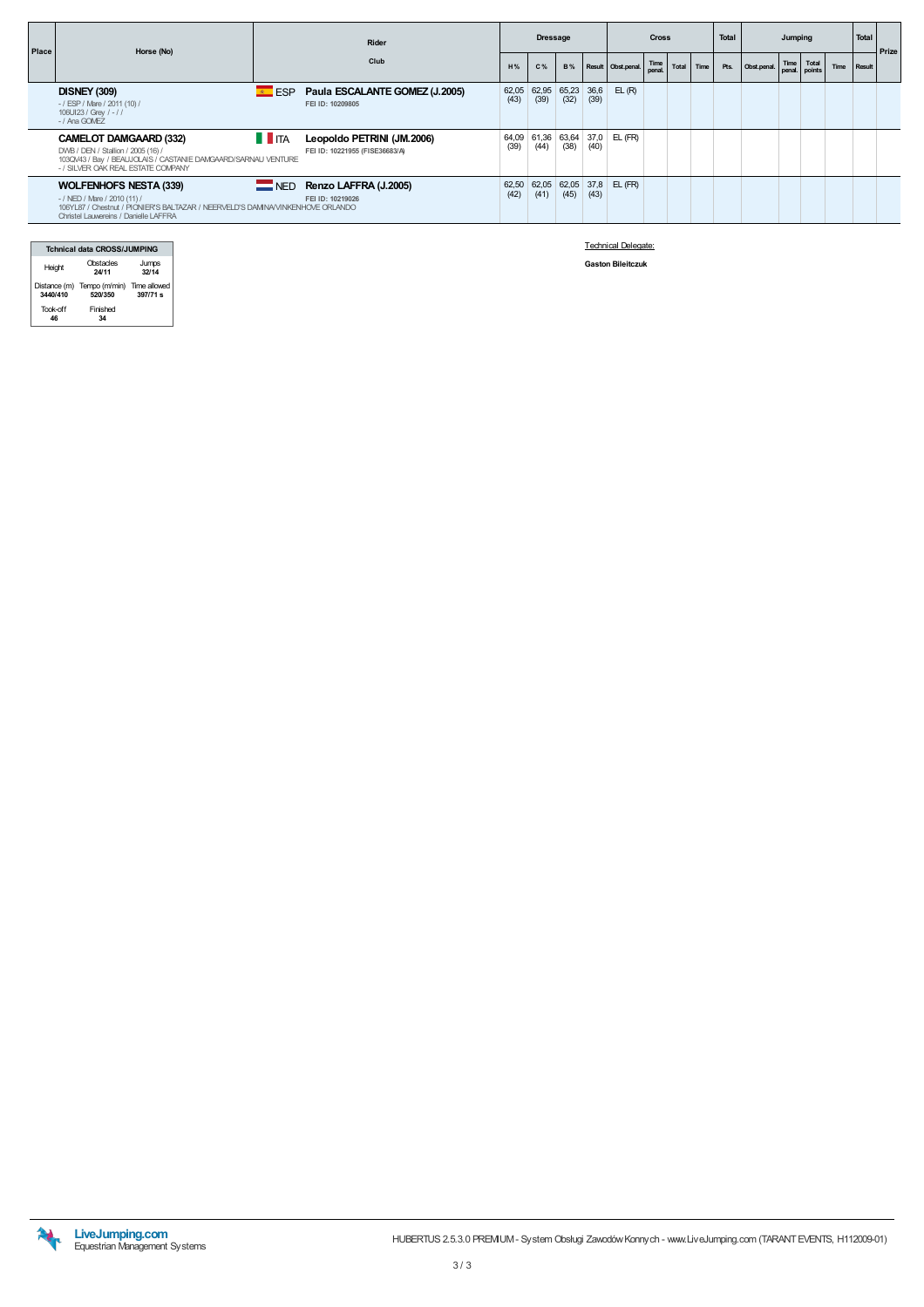| <b>Place</b> | Horse (No)                                                                                                                                                                                       | Rider<br>Club<br>H%                                          |               | <b>Dressage</b> |                      |      | <b>Cross</b>                   |                |       |        | <b>Total</b> | Jumping     |                             |  |      | Total         | Prize |
|--------------|--------------------------------------------------------------------------------------------------------------------------------------------------------------------------------------------------|--------------------------------------------------------------|---------------|-----------------|----------------------|------|--------------------------------|----------------|-------|--------|--------------|-------------|-----------------------------|--|------|---------------|-------|
|              |                                                                                                                                                                                                  |                                                              |               | C%              |                      |      | B% Result Obst.penal.          | Time<br>penal. | Total | Time I | Pts.         | Obst.penal. | Time Total<br>penal. points |  | Time | <b>Result</b> |       |
|              | <b>DISNEY (309)</b><br>$E = ESP$<br>-/ ESP / Mare / 2011 (10) /<br>106UI23 / Grey / - / /<br>- / Ana GOMEZ                                                                                       | Paula ESCALANTE GOMEZ (J.2005)<br>FEI ID: 10209805           | 62,05<br>(43) | 62,95<br>(39)   | $65,23$ 36,6<br>(32) | (39) | EL(R)                          |                |       |        |              |             |                             |  |      |               |       |
|              | $\blacksquare$ ITA<br><b>CAMELOT DAMGAARD (332)</b><br>DWB / DEN / Stallion / 2005 (16) /<br>103QV43 / Bay / BEAUJOLAIS / CASTANIE DAMGAARD/SARNAU VENTURE<br>- / SILVER OAK REAL ESTATE COMPANY | Leopoldo PETRINI (JM.2006)<br>FEI ID: 10221955 (FISE36683/A) | (39)          | (44)            | (38)                 | (40) | 64,09 61,36 63,64 37,0 EL (FR) |                |       |        |              |             |                             |  |      |               |       |
|              | <b>WOLFENHOFS NESTA (339)</b><br>$-$ / NED / Mare / 2010 (11) /<br>106YL87 / Chestnut / PIONIER'S BALTAZAR / NEERVELD'S DAMNAVINKENHOVE ORLANDO<br>Christel Lauwereins / Danielle LAFFRA         | NED Renzo LAFFRA (J.2005)<br>FEI ID: 10219026                | (42)          | (41)            | (45)                 | (43) | 62,50 62,05 62,05 37,8 EL (FR) |                |       |        |              |             |                             |  |      |               |       |

| <b>Tchnical data CROSS/JUMPING</b> |                                                    |                |  |  |  |  |  |  |  |  |
|------------------------------------|----------------------------------------------------|----------------|--|--|--|--|--|--|--|--|
| Height                             | Obstacles<br>24/11                                 | Jumps<br>32/14 |  |  |  |  |  |  |  |  |
| 3440/410                           | Distance (m) Tempo (m/min) Time allowed<br>520/350 | 397/71 s       |  |  |  |  |  |  |  |  |
| Took-off                           | Finished                                           |                |  |  |  |  |  |  |  |  |

Technical Delegate:

Gaston Bileitczuk

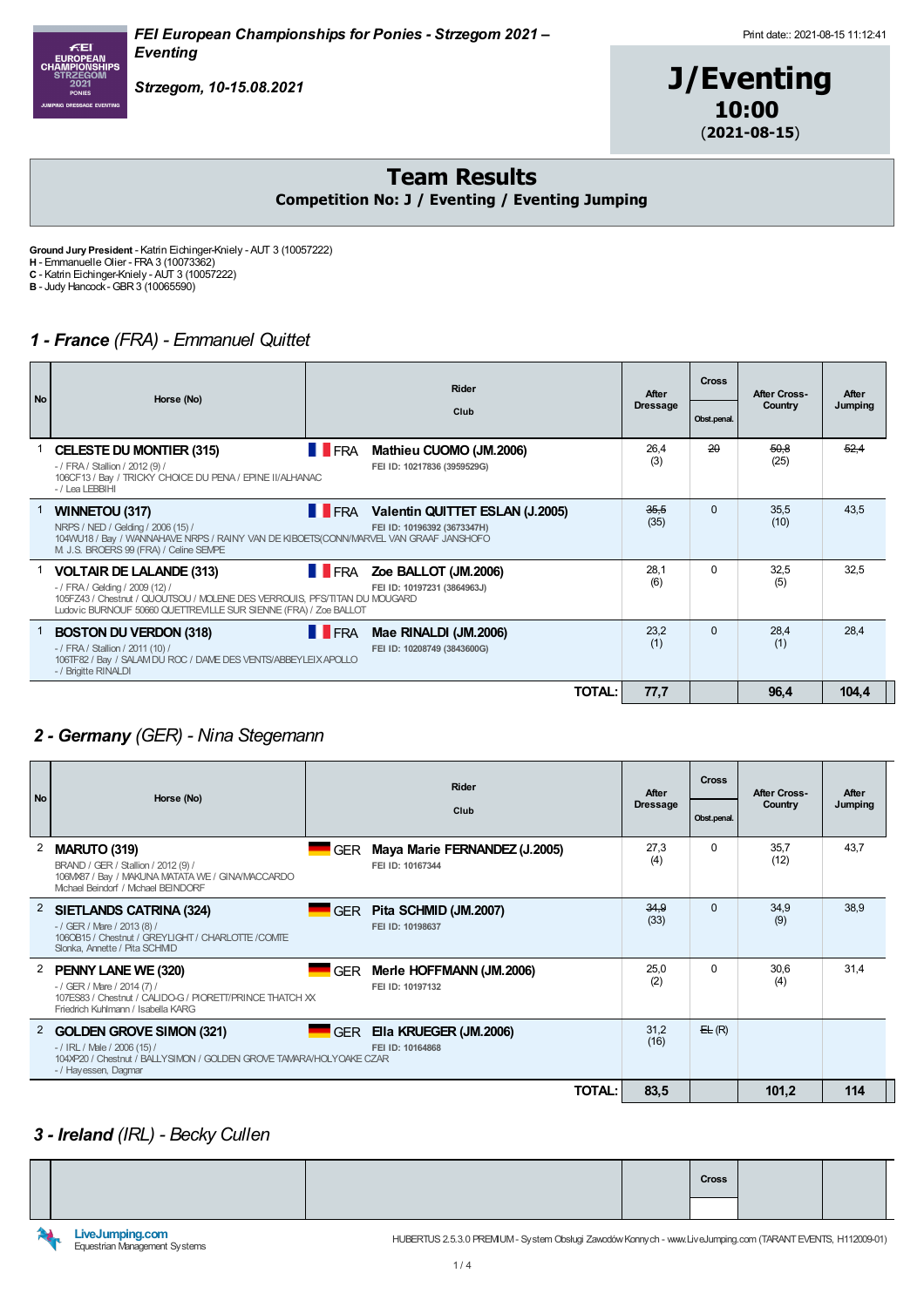



Team Results Competition No: J / Eventing / Eventing Jumping

Ground Jury President - Katrin Eichinger-Kniely - AUT 3 (10057222) H - Emmanuelle Olier - FRA 3 (10073362) C - Katrin Eichinger-Kniely - AUT 3 (10057222)

Strzegom, 10-15.08.2021

B - Judy Hancock-GBR3 (10065590)

### 1 - France (FRA) - Emmanuel Quittet

| <b>No</b> | Horse (No) | <b>Rider</b>                                                                                                                                                                                                        | After        | <b>Cross</b>                                                              | After Cross-    | After      |              |         |
|-----------|------------|---------------------------------------------------------------------------------------------------------------------------------------------------------------------------------------------------------------------|--------------|---------------------------------------------------------------------------|-----------------|------------|--------------|---------|
|           |            |                                                                                                                                                                                                                     |              | Club                                                                      | <b>Dressage</b> | Obst.penal | Country      | Jumping |
|           |            | <b>CELESTE DU MONTIER (315)</b><br>- / FRA / Stallion / 2012 (9) /<br>106CF13 / Bay / TRICKY CHOICE DU PENA / EPINE II/ALHANAC<br>-/Lea LEBBIHI                                                                     | <b>TERA</b>  | Mathieu CUOMO (JM.2006)<br>FEI ID: 10217836 (3959529G)                    | 26,4<br>(3)     | 20         | 50,8<br>(25) | 52.4    |
|           |            | <b>WINNETOU (317)</b><br>NRPS / NED / Gelding / 2006 (15) /<br>104WU18 / Bay / WANNAHAVE NRPS / RAINY VAN DE KIBOETS(CONN/MARVEL VAN GRAAF JANSHOFO<br>M J.S. BROERS 99 (FRA) / Celine SEMPE                        |              | <b>FRA</b> Valentin QUITTET ESLAN (J.2005)<br>FEI ID: 10196392 (3673347H) | 35,5<br>(35)    | $\Omega$   | 35,5<br>(10) | 43,5    |
|           |            | <b>VOLTAIR DE LALANDE (313)</b><br>- / FRA / Gelding / 2009 (12) /<br>105FZ43 / Chestnut / QUOUTSOU / MOLENE DES VERROUIS. PFS/TITAN DU MOUGARD<br>Ludovic BURNOUF 50660 QUETTREVILLE SUR SIENNE (FRA) / Zoe BALLOT |              | <b>FRA</b> Zoe BALLOT (JM.2006)<br>FEI ID: 10197231 (3864963J)            | 28,1<br>(6)     | $\Omega$   | 32,5<br>(5)  | 32,5    |
|           |            | <b>BOSTON DU VERDON (318)</b><br>- / FRA / Stallion / 2011 (10) /<br>106TF82 / Bay / SALAM DU ROC / DAME DES VENTS/ABBEYLEIX APOLLO<br>- / Brigitte RINALDI                                                         | <b>T</b> FRA | Mae RINALDI (JM.2006)<br>FEI ID: 10208749 (3843600G)                      | 23,2<br>(1)     | $\Omega$   | 28,4<br>(1)  | 28,4    |
|           |            |                                                                                                                                                                                                                     |              | <b>TOTAL:</b>                                                             | 77,7            |            | 96,4         | 104,4   |

## 2 - Germany (GER) - Nina Stegemann

| <b>No</b> | Horse (No)                                                                                                                                                       |            | After                                             | <b>Cross</b>    | <b>After Cross-</b> | After        |         |
|-----------|------------------------------------------------------------------------------------------------------------------------------------------------------------------|------------|---------------------------------------------------|-----------------|---------------------|--------------|---------|
|           |                                                                                                                                                                  |            | Club                                              | <b>Dressage</b> | Obst.penal.         | Country      | Jumping |
| 2         | <b>MARUTO (319)</b><br>BRAND / GER / Stallion / 2012 (9) /<br>106MX87 / Bay / MAKUNA MATATA WE / GINA/MACCARDO<br>Michael Beindorf / Michael BEINDORF            | <b>GER</b> | Maya Marie FERNANDEZ (J.2005)<br>FEI ID: 10167344 | 27,3<br>(4)     | $\Omega$            | 35,7<br>(12) | 43,7    |
|           | <sup>2</sup> SIETLANDS CATRINA (324)<br>$-$ / GER / Mare / 2013 (8) /<br>106OB15 / Chestnut / GREYLIGHT / CHARLOTTE /COMTE<br>Slonka, Annette / Pita SCHMD       | <b>GER</b> | Pita SCHMID (JM.2007)<br>FEI ID: 10198637         | 34,9<br>(33)    | $\Omega$            | 34,9<br>(9)  | 38,9    |
| 2         | PENNY LANE WE (320)<br>$-$ / GER / Mare / 2014 (7) /<br>107ES83 / Chestnut / CALIDO-G / PIORETT/PRINCE THATCH XX<br>Friedrich Kuhlmann / Isabella KARG           | <b>GER</b> | Merle HOFFMANN (JM.2006)<br>FEI ID: 10197132      | 25,0<br>(2)     | 0                   | 30,6<br>(4)  | 31,4    |
| 2         | <b>GOLDEN GROVE SIMON (321)</b><br>$-$ / IRL / Male / 2006 (15) /<br>104XP20 / Chestnut / BALLYSIMON / GOLDEN GROVE TAMARA/HOLYOAKE CZAR<br>- / Hayessen, Dagmar |            | GER Ella KRUEGER (JM.2006)<br>FEI ID: 10164868    | 31,2<br>(16)    | E(E(R))             |              |         |
|           |                                                                                                                                                                  |            | TOTAL:                                            | 83,5            |                     | 101,2        | 114     |

#### 3 - Ireland (IRL) - Becky Cullen

|  |  | <b>Cross</b> |  |  |
|--|--|--------------|--|--|

LiveJumping.com<br>Equestrian Management Systems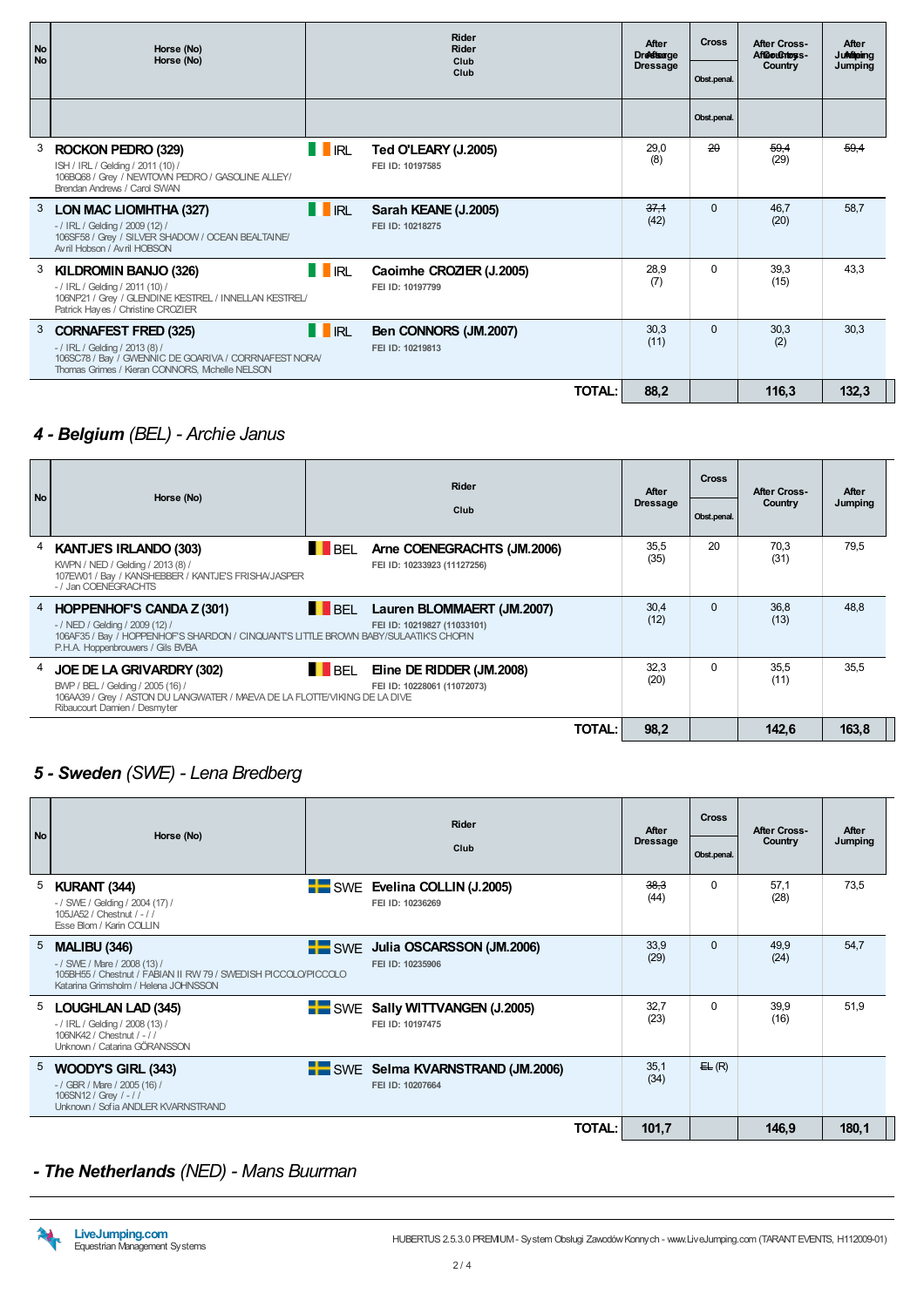| <b>No</b><br><b>No</b> | Horse (No)                                                                                                                                                                 | Rider<br>Rider<br>Horse (No)<br>Club |                                              |                 |                 | After Cross-<br>AfGouChtoss- | After<br><b>Jukiteing</b> |
|------------------------|----------------------------------------------------------------------------------------------------------------------------------------------------------------------------|--------------------------------------|----------------------------------------------|-----------------|-----------------|------------------------------|---------------------------|
|                        |                                                                                                                                                                            |                                      | Club                                         | <b>Dressage</b> | Obst.penal.     | Country                      | Jumping                   |
|                        |                                                                                                                                                                            |                                      |                                              |                 | Obst.penal.     |                              |                           |
|                        | ROCKON PEDRO (329)<br>ISH / IRL / Gelding / 2011 (10) /<br>106BQ68 / Grey / NEWTOWN PEDRO / GASOLINE ALLEY/<br>Brendan Andrews / Carol SWAN                                | <b>II</b> RL                         | Ted O'LEARY (J.2005)<br>FEI ID: 10197585     | 29.0<br>(8)     | $\overline{20}$ | $-59.4$<br>(29)              | 59,4                      |
| 3                      | LON MAC LIOMHTHA (327)<br>$-$ / IRL / Gelding / 2009 (12) /<br>106SF58 / Grey / SILVER SHADOW / OCEAN BEALTAINE/<br>Avril Hobson / Avril HOBSON                            | IRL                                  | Sarah KEANE (J.2005)<br>FEI ID: 10218275     | 37,1<br>(42)    | $\Omega$        | 46.7<br>(20)                 | 58,7                      |
| 3                      | KILDROMIN BANJO (326)<br>$-$ / IRL / Gelding / 2011 (10) /<br>106NP21 / Grey / GLENDINE KESTREL / INNELLAN KESTREL/<br>Patrick Hayes / Christine CROZIER                   | <b>II</b> IRL                        | Caoimhe CROZIER (J.2005)<br>FEI ID: 10197799 | 28,9<br>(7)     | $\Omega$        | 39,3<br>(15)                 | 43.3                      |
| 3                      | <b>CORNAFEST FRED (325)</b><br>$-$ / IRL / Gelding / 2013 (8) /<br>106SC78 / Bay / GWENNIC DE GOARIVA / CORRNAFEST NORA/<br>Thomas Grimes / Kieran CONNORS, Mchelle NELSON | <b>II</b> RL                         | Ben CONNORS (JM.2007)<br>FEI ID: 10219813    | 30.3<br>(11)    | $\Omega$        | 30,3<br>(2)                  | 30,3                      |
|                        |                                                                                                                                                                            |                                      | <b>TOTAL:</b>                                | 88,2            |                 | 116,3                        | 132,3                     |

### 4 - Belgium (BEL) - Archie Janus

| No. | Horse (No)                                                                                                                                                                                             | <b>Rider</b><br>Club                                                 | After<br><b>Dressage</b> | <b>Cross</b><br>Obst.penal. | After Cross-<br>Country | After<br>Jumping |
|-----|--------------------------------------------------------------------------------------------------------------------------------------------------------------------------------------------------------|----------------------------------------------------------------------|--------------------------|-----------------------------|-------------------------|------------------|
|     | KANTJE'S IRLANDO (303)<br>KWPN / NED / Gelding / 2013 (8) /<br>107EW01 / Bay / KANSHEBBER / KANTJE'S FRISHA/JASPER<br>-/Jan COENEGRACHTS                                                               | BEL<br>Arne COENEGRACHTS (JM.2006)<br>FEI ID: 10233923 (11127256)    | 35,5<br>(35)             | 20                          | 70.3<br>(31)            | 79.5             |
|     | <sup>4</sup> HOPPENHOF'S CANDA Z (301)<br>- / NED / Gelding / 2009 (12) /<br>106AF35 / Bay / HOPPENHOF'S SHARDON / CINQUANT'S LITTLE BROWN BABY/SULAATIK'S CHOPIN<br>P.H.A. Hoppenbrouwers / Gils BVBA | <b>BEL</b> Lauren BLOMMAERT (JM.2007)<br>FEI ID: 10219827 (11033101) | 30,4<br>(12)             | $\Omega$                    | 36,8<br>(13)            | 48,8             |
|     | <sup>4</sup> JOE DE LA GRIVARDRY (302)<br>BWP / BEL / Gelding / 2005 (16) /<br>106AA39 / Grey / ASTON DU LANGWATER / MAEVA DE LA FLOTTE/VIKING DE LA DIVE<br>Ribaucourt Damien / Desmyter              | BEL<br>Eline DE RIDDER (JM.2008)<br>FEI ID: 10228061 (11072073)      | 32,3<br>(20)             | $\Omega$                    | 35,5<br>(11)            | 35,5             |
|     |                                                                                                                                                                                                        | TOTAL:                                                               | 98,2                     |                             | 142.6                   | 163,8            |

#### 5 - Sweden (SWE) - Lena Bredberg

| <b>No</b> | Horse (No)                                                                                                                                                    | Rider<br>Club                                       | After<br><b>Dressage</b> | <b>Cross</b><br>Obst.penal. | <b>After Cross-</b><br>Country | After<br>Jumping |
|-----------|---------------------------------------------------------------------------------------------------------------------------------------------------------------|-----------------------------------------------------|--------------------------|-----------------------------|--------------------------------|------------------|
| 5         | KURANT (344)<br>- / SWE / Gelding / 2004 (17) /<br>105JA52 / Chestnut / - / /<br>Esse Blom / Karin COLLIN                                                     | SWE Evelina COLLIN (J.2005)<br>FEI ID: 10236269     | 38,3<br>(44)             | 0                           | 57,1<br>(28)                   | 73,5             |
| 5         | <b>MALIBU (346)</b><br>- / SWE / Mare / 2008 (13) /<br>105BH55 / Chestnut / FABIAN II RW 79 / SWEDISH PICCOLO/PICCOLO<br>Katarina Grimsholm / Helena JOHNSSON | SWE Julia OSCARSSON (JM.2006)<br>FEI ID: 10235906   | 33,9<br>(29)             | $\Omega$                    | 49,9<br>(24)                   | 54,7             |
|           | <sup>5</sup> LOUGHLAN LAD (345)<br>- / IRL / Gelding / 2008 (13) /<br>106NK42 / Chestnut / - / /<br>Unknown / Catarina GÖRANSSON                              | SWE Sally WITTVANGEN (J.2005)<br>FEI ID: 10197475   | 32,7<br>(23)             | $\Omega$                    | 39,9<br>(16)                   | 51,9             |
| 5         | WOODY'S GIRL (343)<br>- / GBR / Mare / 2005 (16) /<br>106SN12 / Grey / -//<br>Unknown / Sofia ANDLER KVARNSTRAND                                              | SWE Selma KVARNSTRAND (JM.2006)<br>FEI ID: 10207664 | 35,1<br>(34)             | E(E(R))                     |                                |                  |
|           |                                                                                                                                                               | TOTAL: I                                            | 101,7                    |                             | 146,9                          | 180,1            |

#### - The Netherlands (NED) - Mans Buurman

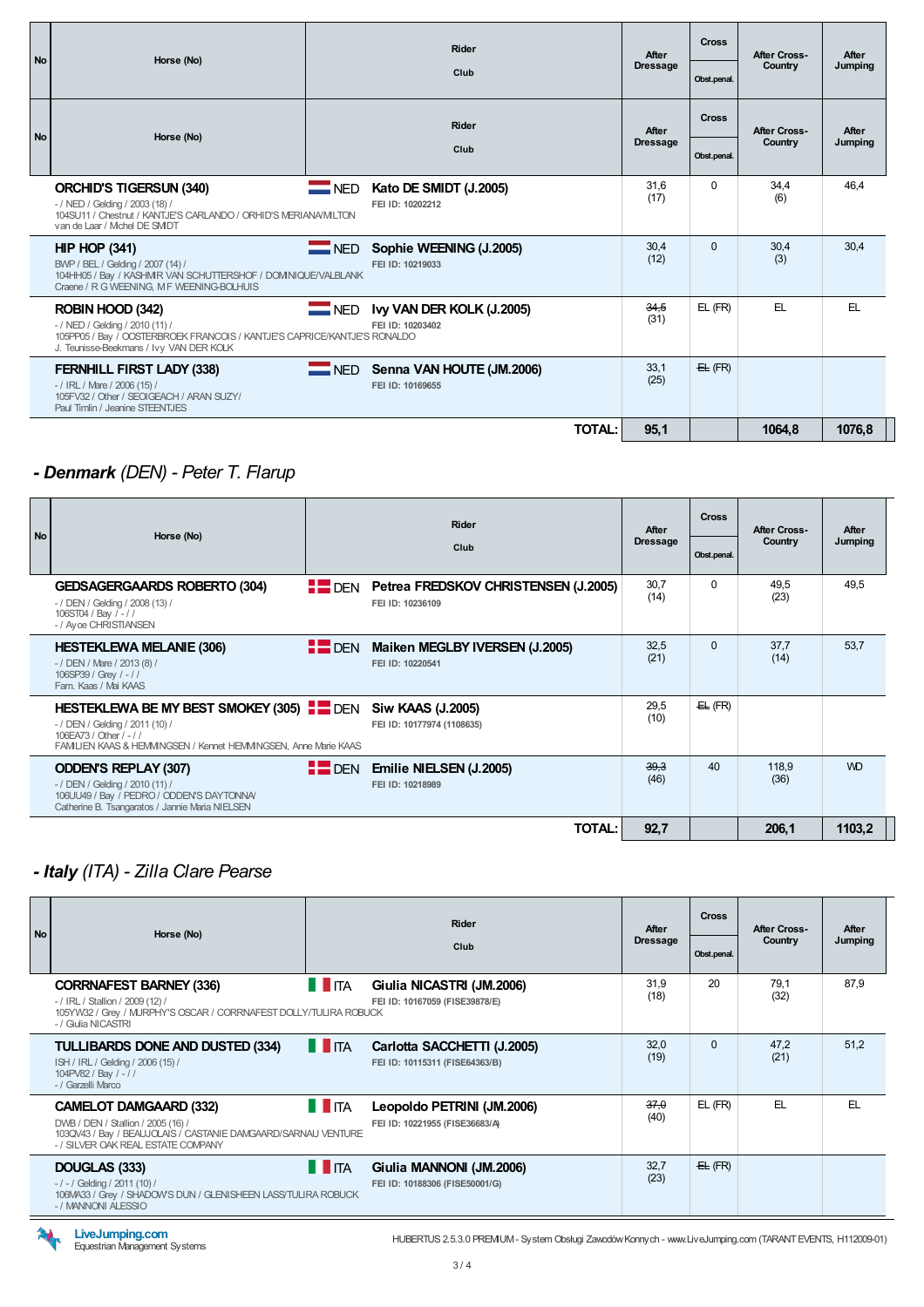| <b>No</b> |                                                                                                                                                                            | Rider<br>Horse (No) |                                                   | After           | Cross         | <b>After Cross-</b> | After   |  |
|-----------|----------------------------------------------------------------------------------------------------------------------------------------------------------------------------|---------------------|---------------------------------------------------|-----------------|---------------|---------------------|---------|--|
|           |                                                                                                                                                                            |                     | Club                                              | <b>Dressage</b> | Obst.penal.   | Country             | Jumping |  |
| <b>No</b> | Horse (No)                                                                                                                                                                 |                     | Rider                                             | After           | <b>Cross</b>  | <b>After Cross-</b> | After   |  |
|           |                                                                                                                                                                            |                     | Club                                              | <b>Dressage</b> | Obst.penal.   | Country             | Jumping |  |
|           | <b>ORCHID'S TIGERSUN (340)</b><br>- / NED / Gelding / 2003 (18) /<br>104SU11 / Chestnut / KANTJE'S CARLANDO / ORHID'S MERIANA/MILTON<br>van de Laar / Michel DE SMIDT      | $\blacksquare$ NED  | Kato DE SMIDT (J.2005)<br>FEI ID: 10202212        | 31.6<br>(17)    | $\Omega$      | 34,4<br>(6)         | 46.4    |  |
|           | HIP HOP (341)<br>BWP / BEL / Gelding / 2007 (14) /<br>104HH05 / Bay / KASHMR VAN SCHUTTERSHOF / DOMNIQUE/VALBLANK<br>Craene / R G WEENING, M F WEENING-BOLHUIS             | $\blacksquare$ NED  | Sophie WEENING (J.2005)<br>FEI ID: 10219033       | 30.4<br>(12)    | $\Omega$      | 30,4<br>(3)         | 30.4    |  |
|           | ROBIN HOOD (342)<br>- / NED / Gelding / 2010 (11) /<br>105PP05 / Bay / OOSTERBROEK FRANCOIS / KANTJE'S CAPRICE/KANTJE'S RONALDO<br>J. Teunisse-Beekmans / Ivy VAN DER KOLK | $\equiv$ NED        | Ivy VAN DER KOLK (J.2005)<br>FEI ID: 10203402     | 34,5<br>(31)    | $EL$ ( $FR$ ) | EL.                 | EL.     |  |
|           | <b>FERNHILL FIRST LADY (338)</b><br>$-$ / IRL / Mare / 2006 (15) /<br>105FV32 / Other / SEOIGEACH / ARAN SUZY/<br>Paul Timlin / Jeanine STEENTJES                          |                     | NED Senna VAN HOUTE (JM.2006)<br>FEI ID: 10169655 | 33,1<br>(25)    | E(E)          |                     |         |  |
|           |                                                                                                                                                                            |                     | TOTAL:                                            | 95,1            |               | 1064,8              | 1076,8  |  |

# - Denmark (DEN) - Peter T. Flarup

| <b>No</b> | Horse (No)                                                                                                                                                                                           |                    | Rider<br>Club                                                        | After<br><b>Dressage</b> | <b>Cross</b><br>Obst.penal. | After Cross-<br>Country | After<br>Jumping |  |
|-----------|------------------------------------------------------------------------------------------------------------------------------------------------------------------------------------------------------|--------------------|----------------------------------------------------------------------|--------------------------|-----------------------------|-------------------------|------------------|--|
|           | <b>GEDSAGERGAARDS ROBERTO (304)</b><br>- / DEN / Gelding / 2008 (13) /<br>106ST04 / Bay / -//<br>- / Ayoe CHRISTIANSEN                                                                               |                    | <b>EDEN</b> Petrea FREDSKOV CHRISTENSEN (J.2005)<br>FEI ID: 10236109 | 30,7<br>(14)             | 0                           | 49,5<br>(23)            | 49,5             |  |
|           | <b>HESTEKLEWA MELANIE (306)</b><br>$-$ / DEN / Mare / 2013 (8) /<br>106SP39 / Grey / -//<br>Fam. Kaas / Mai KAAS                                                                                     | $\blacksquare$ DEN | Maiken MEGLBY IVERSEN (J.2005)<br>FEI ID: 10220541                   | 32,5<br>(21)             | $\Omega$                    | 37,7<br>(14)            | 53,7             |  |
|           | HESTEKLEWA BE MY BEST SMOKEY (305) <b>EXAMPLE SIM KAAS (J.2005)</b><br>- / DEN / Gelding / 2011 (10) /<br>106EA73 / Other / - / /<br>FAMILIEN KAAS & HEMMINGSEN / Kennet HEMMINGSEN, Anne Marie KAAS |                    | FEI ID: 10177974 (1108635)                                           | 29,5<br>(10)             | E(E(R))                     |                         |                  |  |
|           | <b>ODDEN'S REPLAY (307)</b><br>- / DEN / Gelding / 2010 (11) /<br>106UU49 / Bay / PEDRO / ODDEN'S DAYTONNA/<br>Catherine B. Tsangaratos / Jannie Maria NIELSEN                                       | $F$ DEN            | Emilie NIELSEN (J.2005)<br>FEI ID: 10218989                          | 39,3<br>(46)             | 40                          | 118,9<br>(36)           | <b>WD</b>        |  |
|           |                                                                                                                                                                                                      |                    | TOTAL:                                                               | 92,7                     |                             | 206,1                   | 1103,2           |  |

## - Italy (ITA) - Zilla Clare Pearse

| <b>No</b> | Horse (No)                                                                                                                                                                 |                    | <b>Rider</b><br>Club                                          | After<br><b>Dressage</b> | <b>Cross</b> | <b>After Cross-</b><br>Country | After<br>Jumping |
|-----------|----------------------------------------------------------------------------------------------------------------------------------------------------------------------------|--------------------|---------------------------------------------------------------|--------------------------|--------------|--------------------------------|------------------|
|           |                                                                                                                                                                            |                    |                                                               |                          | Obst.penal.  |                                |                  |
|           | <b>CORRNAFEST BARNEY (336)</b><br>$-$ / IRL / Stallion / 2009 (12) /<br>105YW32 / Grey / MURPHY'S OSCAR / CORRNAFEST DOLLY/TULIRA ROBUCK<br>- / Giulia NICASTRI            | $\blacksquare$ ITA | Giulia NICASTRI (JM.2006)<br>FEI ID: 10167059 (FISE39878/E)   | 31.9<br>(18)             | 20           | 79.1<br>(32)                   | 87.9             |
|           | TULLIBARDS DONE AND DUSTED (334)<br>ISH / IRL / Gelding / 2006 (15) /<br>104PV82 / Bay / -//<br>- / Garzelli Marco                                                         | <b>T</b>           | Carlotta SACCHETTI (J.2005)<br>FEI ID: 10115311 (FISE64363/B) | 32,0<br>(19)             | $\Omega$     | 47,2<br>(21)                   | 51,2             |
|           | <b>CAMELOT DAMGAARD (332)</b><br>DWB / DEN / Stallion / 2005 (16) /<br>103QV43 / Bay / BEAUJOLAIS / CASTANIE DAWGAARD/SARNAU VENTURE<br>- / SILVER OAK REAL ESTATE COMPANY | $\blacksquare$ ITA | Leopoldo PETRINI (JM.2006)<br>FEI ID: 10221955 (FISE36683/A)  | 37,0<br>(40)             | EL (FR)      | FL.                            | FL.              |
|           | DOUGLAS (333)<br>$-1 - 1$ Gelding $/ 2011 (10)$<br>106MA33 / Grey / SHADOWS DUN / GLENISHEEN LASS/TULIRA ROBUCK<br>-/ MANNONI ALESSIO                                      | <b>THEFTA</b>      | Giulia MANNONI (JM.2006)<br>FEI ID: 10188306 (FISE50001/G)    | 32,7<br>(23)             | E(E(R))      |                                |                  |

HUBERTUS 2.5.3.0 PREMIUM- System Obsługi ZawodówKonnych - www.LiveJumping.com (TARANTEVENTS, H112009-01)